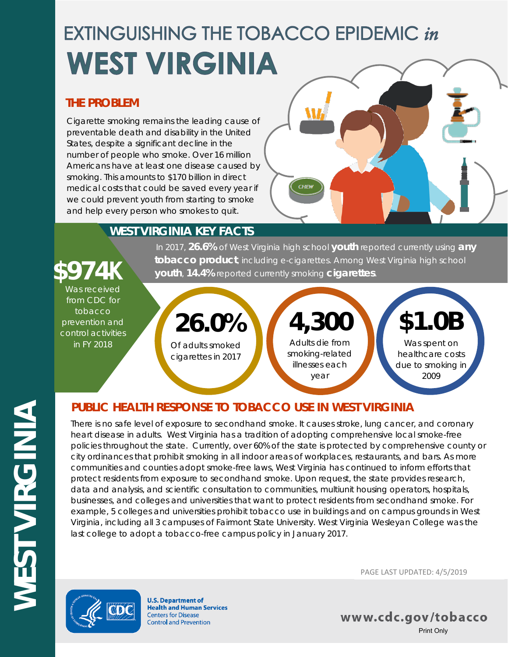# **EXTINGUISHING THE TOBACCO EPIDEMIC in WEST VIRGINIA**

### **THE PROBLEM**

Cigarette smoking remains the leading cause of preventable death and disability in the United States, despite a significant decline in the number of people who smoke. Over 16 million Americans have at least one disease caused by smoking. This amounts to \$170 billion in direct medical costs that could be saved every year if we could prevent youth from starting to smoke and help every person who smokes to quit.



# **WEST VIRGINIA KEY FACTS**

# In 2017, **26.6%** of West Virginia high school **youth** reported currently using **any tobacco product**, including e-cigarettes. Among West Virginia high school **\$974K youth**, **14.4%** reported currently smoking **cigarettes**.

Was received from CDC for tobacco prevention and control activities in FY 2018

Of adults smoked cigarettes in 2017 **26.0%**

Adults die from smoking-related illnesses each year **4,300**

**\$1.0B**

Was spent on healthcare costs due to smoking in 2009

# **PUBLIC HEALTH RESPONSE TO TOBACCO USE IN WEST VIRGINIA**

There is no safe level of exposure to secondhand smoke. It causes stroke, lung cancer, and coronary heart disease in adults. West Virginia has a tradition of adopting comprehensive local smoke-free policies throughout the state. Currently, over 60% of the state is protected by comprehensive county or city ordinances that prohibit smoking in all indoor areas of workplaces, restaurants, and bars. As more communities and counties adopt smoke-free laws, West Virginia has continued to inform efforts that protect residents from exposure to secondhand smoke. Upon request, the state provides research, data and analysis, and scientific consultation to communities, multiunit housing operators, hospitals, businesses, and colleges and universities that want to protect residents from secondhand smoke. For example, 5 colleges and universities prohibit tobacco use in buildings and on campus grounds in West Virginia, including all 3 campuses of Fairmont State University. West Virginia Wesleyan College was the last college to adopt a tobacco-free campus policy in January 2017.



**U.S. Department of Health and Human Services Centers for Disease Control and Prevention** 

PAGE LAST UPDATED: 4/5/2019

www.cdc.gov/tobacco Print Only